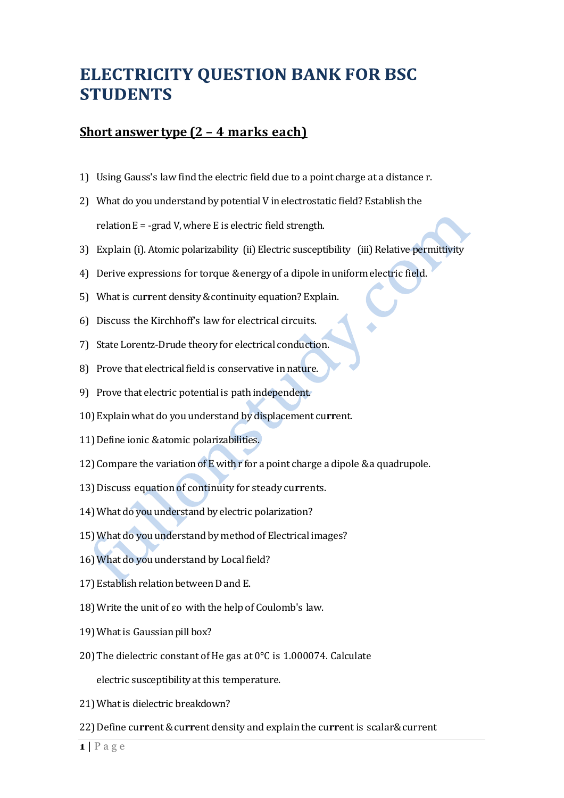## **ELECTRICITY QUESTION BANK FOR BSC STUDENTS**

## **Short answer type (2 – 4 marks each)**

- 1) Using Gauss's law find the electric field due to a point charge at a distance r.
- 2) What do you understand by potential V in electrostatic field? Establish the relation  $E = -grad V$ , where E is electric field strength.
- 3) Explain (i). Atomic polarizability (ii) Electric susceptibility (iii) Relative permittivity
- 4) Derive expressions for torque & energy of a dipole in uniform electric field.
- 5) Whatis cu**rr**ent density&continuity equation? Explain.
- 6) Discuss the Kirchhoff's law for electrical circuits.
- 7) State Lorentz-Drude theory for electrical conduction.
- 8) Prove that electrical field is conservative in nature.
- 9) Prove that electric potential is path independent.
- 10)Explainwhat do you understand by displacement cu**rr**ent.
- 11)Define ionic &atomic polarizabilities.
- 12) Compare the variation of E with r for a point charge a dipole  $\&$  a quadrupole.
- 13)Discuss equation of continuity for steady cu**rr**ents.
- 14) What do you understand by electric polarization?
- 15)What do you understand by method of Electricalimages?
- 16) What do you understand by Local field?
- 17) Establish relation between D and E.
- 18)Write the unit of εo with the help of Coulomb's law.
- 19) What is Gaussian pill box?
- 20)The dielectric constant of He gas at 0°C is 1.000074. Calculate

electric susceptibility at this temperature.

- 21) What is dielectric breakdown?
- 22) Define current & current density and explain the current is scalar & current

 $1$  |  $P$  a g e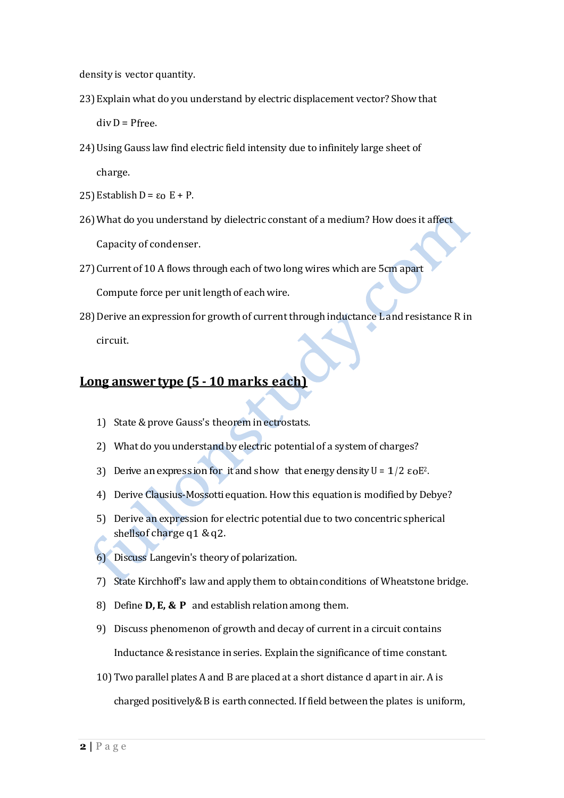density is vector quantity.

- 23)Explain what do you understand by electric displacement vector? Show that  $div D = P$ free.
- 24)Using Gauss law find electric field intensity due to infinitely large sheet of charge.
- 25) Establish  $D = ε$  E + P.
- 26)What do you understand by dielectric constant of a medium? How does it affect Capacity of condenser.
- 27)Current of 10 A flows through each of two long wires which are 5cm apart Compute force per unit length of eachwire.
- 28) Derive an expression for growth of current through inductance L and resistance R in circuit.

## **Long answer type (5 - 10 marks each)**

- 1) State &prove Gauss's theorem inectrostats.
- 2) What do you understand by electric potential of a system of charges?
- 3) Derive an expression for it and show that energy density  $U = 1/2 \varepsilon_0 E^2$ .
- 4) Derive Clausius-Mossotti equation. How this equation is modified by Debye?
- 5) Derive an expression for electric potential due to two concentric spherical shellsof charge q1 &q2.
- 6) Discuss Langevin's theory of polarization.
- 7) State Kirchhoff's law and apply them to obtainconditions of Wheatstone bridge.
- 8) Define **D, E, & P** and establish relationamong them.
- 9) Discuss phenomenon of growth and decay of current in a circuit contains Inductance & resistance in series. Explain the significance of time constant.
- 10)Two parallel plates A and B are placed at a short distance d apart in air. A is charged positively&B is earth connected. If field between the plates is uniform,